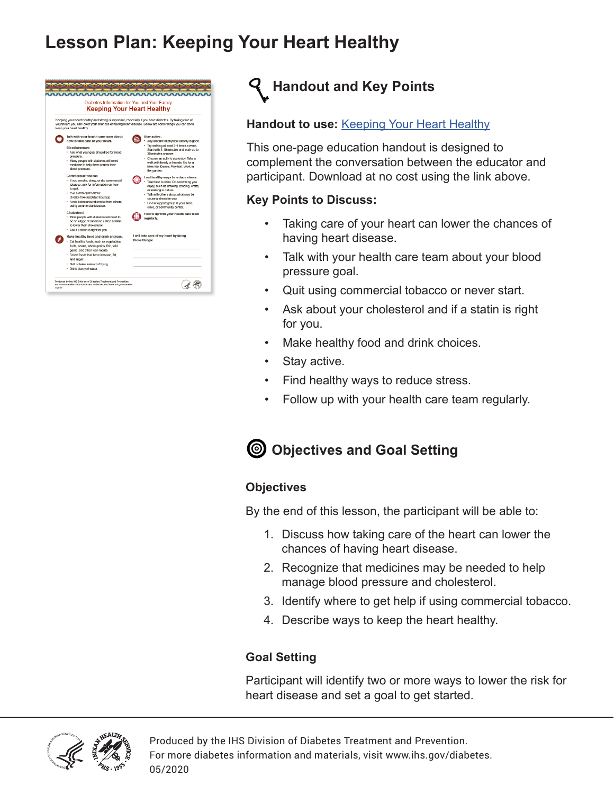### **Lesson Plan: Keeping Your Heart Healthy**

|                                                                                                                                                                                                                                           | Diabetes Information for You and Your Family                                                                                                                                                                                                                                                                                                                                                                                                                                                                                      |  |                                                                                                                                                                                                                                                                                                                                                                                                                                                                                                                                                                                                                 |
|-------------------------------------------------------------------------------------------------------------------------------------------------------------------------------------------------------------------------------------------|-----------------------------------------------------------------------------------------------------------------------------------------------------------------------------------------------------------------------------------------------------------------------------------------------------------------------------------------------------------------------------------------------------------------------------------------------------------------------------------------------------------------------------------|--|-----------------------------------------------------------------------------------------------------------------------------------------------------------------------------------------------------------------------------------------------------------------------------------------------------------------------------------------------------------------------------------------------------------------------------------------------------------------------------------------------------------------------------------------------------------------------------------------------------------------|
|                                                                                                                                                                                                                                           | <b>Keeping Your Heart Healthy</b>                                                                                                                                                                                                                                                                                                                                                                                                                                                                                                 |  |                                                                                                                                                                                                                                                                                                                                                                                                                                                                                                                                                                                                                 |
| Keeping your heart healthy and strong is important, especially if you have diabetes. By taking care of<br>vour heart, you can lower your chances of having heart disease. Below are some things you can do to<br>keep your heart healthy. |                                                                                                                                                                                                                                                                                                                                                                                                                                                                                                                                   |  |                                                                                                                                                                                                                                                                                                                                                                                                                                                                                                                                                                                                                 |
|                                                                                                                                                                                                                                           | Talk with your health care team about<br>how to take care of your heart.<br><b>Blood pressure</b><br>* Ask what your goal should be for blood<br>pressure.<br>. Many people with diabetes will need<br>medicine to help them control their<br>blood pressure.<br>Commercial tobacco<br>• If you smoke, chew, or dip commercial<br>tobacco, ask for information on how<br>to guit.<br>Call 1-800-QUIT-NOW<br>(1-800-784-8669) for free help.<br>. Avoid being around smoke from others<br>using commercial tobacco.<br>Cholesterol |  | Stav active.<br>Any amount of physical activity is good.<br>· Try walking at least 3-4 times a week.<br>Start with 5-10 minutes and work up to<br>30 minutes or more.<br>· Choose an activity you enjoy. Take a<br>walk with family or friends. Go for a<br>bike ride, Dance, Play ball, Work in<br>the garden.<br>Find healthy ways to reduce stress.<br>Take time to relax. Do something you<br>enjoy, such as drawing, reading, crafts,<br>or walking in nature.<br>· Talk with others about what may be<br>causing stress for you.<br>· Find a support group at your Tribe.<br>clinic, or community center. |
|                                                                                                                                                                                                                                           | . Most people with diabetes will need to<br>be on a type of medicine called a statin<br>to lower their cholesterol.<br>. Ask if a statin is right for you.                                                                                                                                                                                                                                                                                                                                                                        |  | Follow up with your health care team<br>regularly.                                                                                                                                                                                                                                                                                                                                                                                                                                                                                                                                                              |
|                                                                                                                                                                                                                                           | Make healthy food and drink choices.<br>· Eat healthy foods, such as vegetables,<br>fruits, beans, whole grains, fish, wild<br>game, and other lean meats.<br>· Select foods that have less salt, fat,                                                                                                                                                                                                                                                                                                                            |  | I will take care of my heart by doing<br>these things:                                                                                                                                                                                                                                                                                                                                                                                                                                                                                                                                                          |
|                                                                                                                                                                                                                                           | and sugar.<br>· Grill or bake instead of frving.<br>· Drink plenty of water.                                                                                                                                                                                                                                                                                                                                                                                                                                                      |  |                                                                                                                                                                                                                                                                                                                                                                                                                                                                                                                                                                                                                 |
| 7/2017                                                                                                                                                                                                                                    | Produced by the IHS Division of Diabetes Treatment and Prevention<br>For more diabetes information and materials, visit www.itis.gov/diabetes                                                                                                                                                                                                                                                                                                                                                                                     |  |                                                                                                                                                                                                                                                                                                                                                                                                                                                                                                                                                                                                                 |



### **Handout to use: [Keeping Your Heart Healthy](https://www.ihs.gov/diabetes/education-materials-and-resources/index.cfm?module=productDetails&productID=2357)**

This one-page education handout is designed to complement the conversation between the educator and participant. Download at no cost using the link above.

### **Key Points to Discuss:**

- Taking care of your heart can lower the chances of having heart disease.
- Talk with your health care team about your blood pressure goal.
- Quit using commercial tobacco or never start.
- Ask about your cholesterol and if a statin is right for you.
- Make healthy food and drink choices.
- Stay active.
- Find healthy ways to reduce stress.
- Follow up with your health care team regularly.

### **Objectives and Goal Setting**

### **Objectives**

By the end of this lesson, the participant will be able to:

- 1. Discuss how taking care of the heart can lower the chances of having heart disease.
- 2. Recognize that medicines may be needed to help manage blood pressure and cholesterol.
- 3. Identify where to get help if using commercial tobacco.
- 4. Describe ways to keep the heart healthy.

### **Goal Setting**

Participant will identify two or more ways to lower the risk for heart disease and set a goal to get started.



Produced by the IHS Division of Diabetes Treatment and Prevention. For more diabetes information and materials, visit www.ihs.gov/diabetes. 05/2020